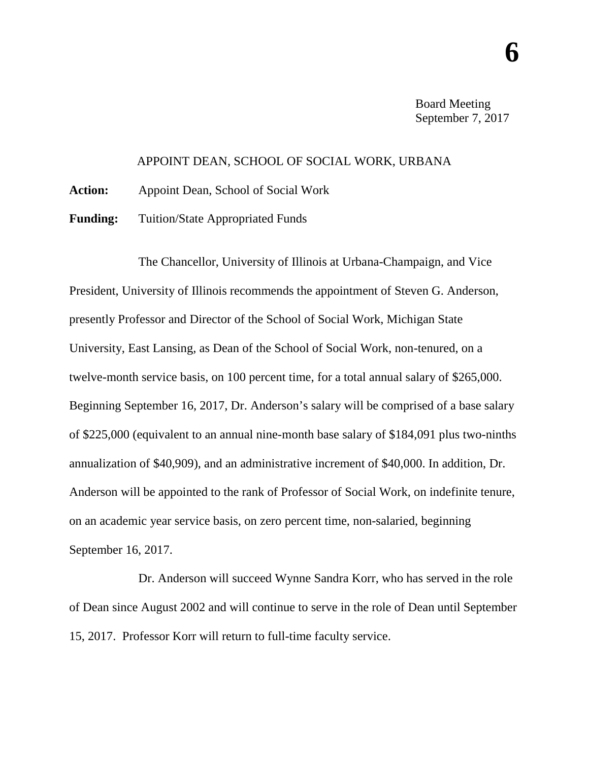## APPOINT DEAN, SCHOOL OF SOCIAL WORK, URBANA

**Action:** Appoint Dean, School of Social Work

**Funding:** Tuition/State Appropriated Funds

The Chancellor, University of Illinois at Urbana-Champaign, and Vice President, University of Illinois recommends the appointment of Steven G. Anderson, presently Professor and Director of the School of Social Work, Michigan State University, East Lansing, as Dean of the School of Social Work, non-tenured, on a twelve-month service basis, on 100 percent time, for a total annual salary of \$265,000. Beginning September 16, 2017, Dr. Anderson's salary will be comprised of a base salary of \$225,000 (equivalent to an annual nine-month base salary of \$184,091 plus two-ninths annualization of \$40,909), and an administrative increment of \$40,000. In addition, Dr. Anderson will be appointed to the rank of Professor of Social Work, on indefinite tenure, on an academic year service basis, on zero percent time, non-salaried, beginning September 16, 2017.

Dr. Anderson will succeed Wynne Sandra Korr, who has served in the role of Dean since August 2002 and will continue to serve in the role of Dean until September 15, 2017. Professor Korr will return to full-time faculty service.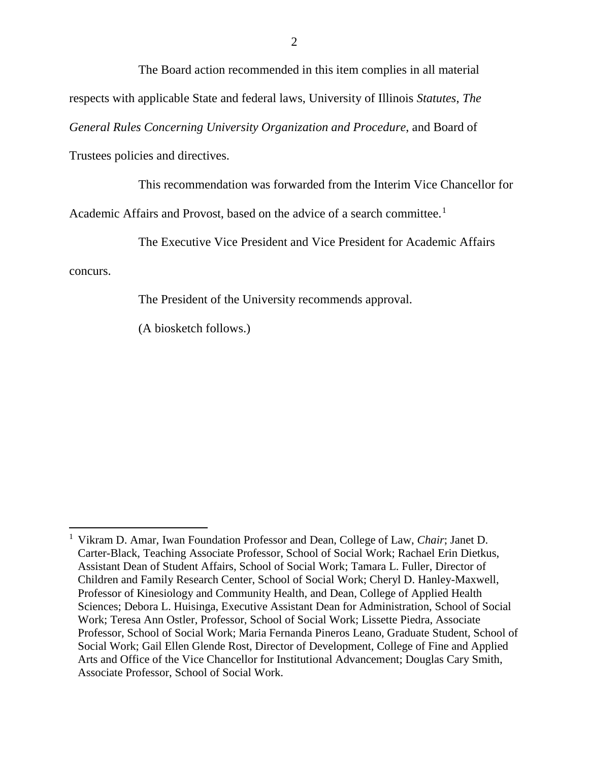The Board action recommended in this item complies in all material respects with applicable State and federal laws, University of Illinois *Statutes*, *The General Rules Concerning University Organization and Procedure*, and Board of Trustees policies and directives.

This recommendation was forwarded from the Interim Vice Chancellor for

Academic Affairs and Provost, based on the advice of a search committee.<sup>[1](#page-1-0)</sup>

The Executive Vice President and Vice President for Academic Affairs

concurs.

The President of the University recommends approval.

(A biosketch follows.)

<span id="page-1-0"></span> <sup>1</sup> Vikram D. Amar, Iwan Foundation Professor and Dean, College of Law, *Chair*; Janet D. Carter-Black, Teaching Associate Professor, School of Social Work; Rachael Erin Dietkus, Assistant Dean of Student Affairs, School of Social Work; Tamara L. Fuller, Director of Children and Family Research Center, School of Social Work; Cheryl D. Hanley-Maxwell, Professor of Kinesiology and Community Health, and Dean, College of Applied Health Sciences; Debora L. Huisinga, Executive Assistant Dean for Administration, School of Social Work; Teresa Ann Ostler, Professor, School of Social Work; Lissette Piedra, Associate Professor, School of Social Work; Maria Fernanda Pineros Leano, Graduate Student, School of Social Work; Gail Ellen Glende Rost, Director of Development, College of Fine and Applied Arts and Office of the Vice Chancellor for Institutional Advancement; Douglas Cary Smith, Associate Professor, School of Social Work.